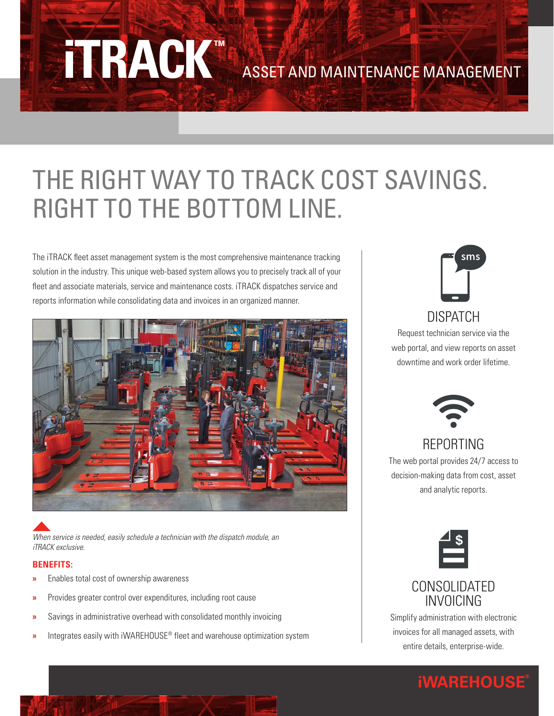# ASSET AND MAINTENANCE MANAGEMENT

# THE RIGHT WAY TO TRACK COST SAVINGS. RIGHT TO THE BOTTOM LINE.

The iTRACK fleet asset management system is the most comprehensive maintenance tracking solution in the industry. This unique web-based system allows you to precisely track all of your fleet and associate materials, service and maintenance costs. iTRACK dispatches service and reports information while consolidating data and invoices in an organized manner.

**iTRACK™**



*When service is needed, easily schedule a technician with the dispatch module, an iTRACK exclusive.*

#### **BENEFITS:**

- **»** Enables total cost of ownership awareness
- **»** Provides greater control over expenditures, including root cause
- **»** Savings in administrative overhead with consolidated monthly invoicing
- **»** Integrates easily with iWAREHOUSE® fleet and warehouse optimization system



DISPATCH Request technician service via the web portal, and view reports on asset downtime and work order lifetime.



#### REPORTING The web portal provides 24/7 access to

decision-making data from cost, asset and analytic reports.



#### CONSOLIDATED INVOICING

Simplify administration with electronic invoices for all managed assets, with entire details, enterprise-wide.